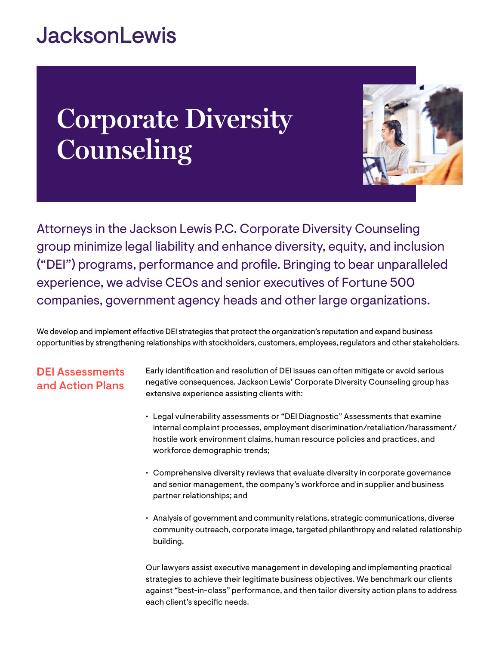## **JacksonLewis**

# **Corporate Diversity Counseling**



Attorneys in the Jackson Lewis P.C. Corporate Diversity Counseling group minimize legal liability and enhance diversity, equity, and inclusion ("DEI") programs, performance and profile. Bringing to bear unparalleled experience, we advise CEOs and senior executives of Fortune 500 companies, government agency heads and other large organizations.

We develop and implement effective DEI strategies that protect the organization's reputation and expand business opportunities by strengthening relationships with stockholders, customers, employees, regulators and other stakeholders.

## DEI Assessments and Action Plans

Early identification and resolution of DEI issues can often mitigate or avoid serious negative consequences. Jackson Lewis' Corporate Diversity Counseling group has extensive experience assisting clients with:

- Legal vulnerability assessments or "DEI Diagnostic" Assessments that examine internal complaint processes, employment discrimination/retaliation/harassment/ hostile work environment claims, human resource policies and practices, and workforce demographic trends;
- Comprehensive diversity reviews that evaluate diversity in corporate governance and senior management, the company's workforce and in supplier and business partner relationships; and
- Analysis of government and community relations, strategic communications, diverse community outreach, corporate image, targeted philanthropy and related relationship building.

Our lawyers assist executive management in developing and implementing practical strategies to achieve their legitimate business objectives. We benchmark our clients against "best-in-class" performance, and then tailor diversity action plans to address each client's specific needs.